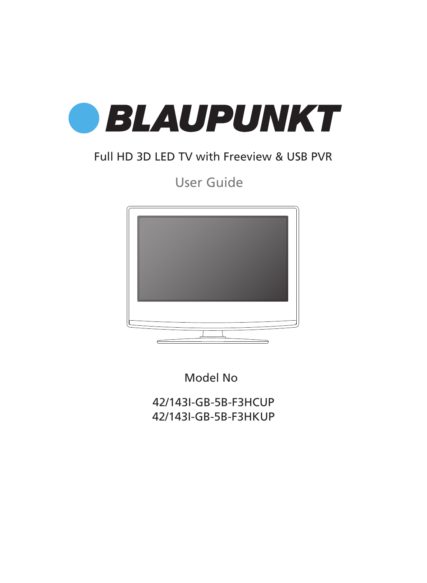

### Full HD 3D LED TV with Freeview & USB PVR

### User Guide



Model No

42/143I-GB-5B-F3HCUP 42/143I-GB-5B-F3HKUP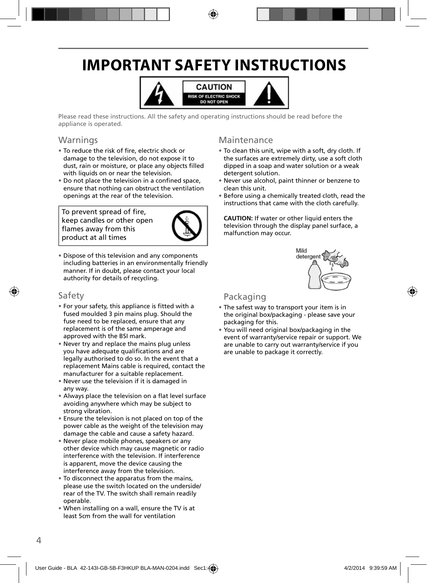## **IMPORTANT SAFETY INSTRUCTIONS**



Please read these instructions. All the safety and operating instructions should be read before the appliance is operated.

### Warnings

- To reduce the risk of fire, electric shock or damage to the television, do not expose it to dust, rain or moisture, or place any objects filled with liquids on or near the television.
- Do not place the television in a confined space, ensure that nothing can obstruct the ventilation openings at the rear of the television.

To prevent spread of fire, keep candles or other open flames away from this product at all times



• Dispose of this television and any components including batteries in an environmentally friendly manner. If in doubt, please contact your local authority for details of recycling.

### Safety

- For your safety, this appliance is fitted with a fused moulded 3 pin mains plug. Should the fuse need to be replaced, ensure that any replacement is of the same amperage and approved with the BSI mark.
- Never try and replace the mains plug unless you have adequate qualifications and are legally authorised to do so. In the event that a replacement Mains cable is required, contact the manufacturer for a suitable replacement.
- Never use the television if it is damaged in any way.
- Always place the television on a flat level surface avoiding anywhere which may be subject to strong vibration.
- Ensure the television is not placed on top of the power cable as the weight of the television may damage the cable and cause a safety hazard.
- Never place mobile phones, speakers or any other device which may cause magnetic or radio interference with the television. If interference is apparent, move the device causing the interference away from the television.
- To disconnect the apparatus from the mains, please use the switch located on the underside/ rear of the TV. The switch shall remain readily operable.
- When installing on a wall, ensure the TV is at least 5cm from the wall for ventilation

### Maintenance

- To clean this unit, wipe with a soft, dry cloth. If the surfaces are extremely dirty, use a soft cloth dipped in a soap and water solution or a weak detergent solution.
- Never use alcohol, paint thinner or benzene to clean this unit.
- Before using a chemically treated cloth, read the instructions that came with the cloth carefully.

**CAUTION:** If water or other liquid enters the television through the display panel surface, a malfunction may occur.



### Packaging

- The safest way to transport your item is in the original box/packaging - please save your packaging for this.
- You will need original box/packaging in the event of warranty/service repair or support. We are unable to carry out warranty/service if you are unable to package it correctly.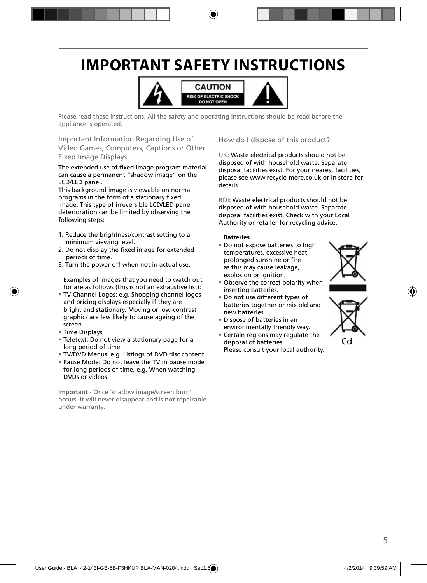## **IMPORTANT SAFETY INSTRUCTIONS**



Please read these instructions. All the safety and operating instructions should be read before the appliance is operated.

Important Information Regarding Use of Video Games, Computers, Captions or Other Fixed Image Displays

The extended use of fixed image program material can cause a permanent "shadow image" on the LCD/LED panel.

This background image is viewable on normal programs in the form of a stationary fixed image. This type of irreversible LCD/LED panel deterioration can be limited by observing the following steps:

- 1. Reduce the brightness/contrast setting to a minimum viewing level.
- 2. Do not display the fixed image for extended periods of time.
- 3. Turn the power off when not in actual use.

Examples of images that you need to watch out for are as follows (this is not an exhaustive list):

- TV Channel Logos: e.g. Shopping channel logos and pricing displays-especially if they are bright and stationary. Moving or low-contrast graphics are less likely to cause ageing of the screen.
- Time Displays
- Teletext: Do not view a stationary page for a long period of time
- TV/DVD Menus: e.g. Listings of DVD disc content
- Pause Mode: Do not leave the TV in pause mode for long periods of time, e.g. When watching DVDs or videos.

**Important** - Once 'shadow image/screen burn' occurs, it will never disappear and is not repairable under warranty.

#### How do I dispose of this product?

UK: Waste electrical products should not be disposed of with household waste. Separate disposal facilities exist. For your nearest facilities, please see www.recycle-more.co.uk or in store for details.

ROI: Waste electrical products should not be disposed of with household waste. Separate disposal facilities exist. Check with your Local Authority or retailer for recycling advice.

#### **Batteries**

• Do not expose batteries to high temperatures, excessive heat, prolonged sunshine or fire as this may cause leakage, explosion or ignition.



- Observe the correct polarity when inserting batteries.
- Do not use different types of batteries together or mix old and new batteries.
- Dispose of batteries in an environmentally friendly way.
- Certain regions may regulate the disposal of batteries.





Cd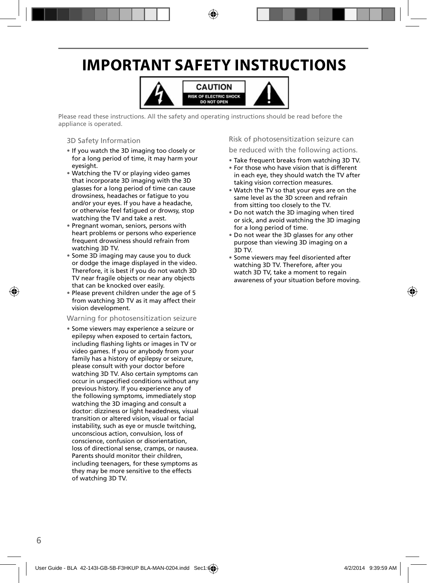## **IMPORTANT SAFETY INSTRUCTIONS**



Please read these instructions. All the safety and operating instructions should be read before the appliance is operated.

#### 3D Safety Information

- If you watch the 3D imaging too closely or for a long period of time, it may harm your eyesight.
- Watching the TV or playing video games that incorporate 3D imaging with the 3D glasses for a long period of time can cause drowsiness, headaches or fatigue to you and/or your eyes. If you have a headache, or otherwise feel fatigued or drowsy, stop watching the TV and take a rest.
- Pregnant woman, seniors, persons with heart problems or persons who experience frequent drowsiness should refrain from watching 3D TV.
- Some 3D imaging may cause you to duck or dodge the image displayed in the video. Therefore, it is best if you do not watch 3D TV near fragile objects or near any objects that can be knocked over easily.
- Please prevent children under the age of 5 from watching 3D TV as it may affect their vision development.

#### Warning for photosensitization seizure

• Some viewers may experience a seizure or epilepsy when exposed to certain factors, including flashing lights or images in TV or video games. If you or anybody from your family has a history of epilepsy or seizure, please consult with your doctor before watching 3D TV. Also certain symptoms can occur in unspecified conditions without any previous history. If you experience any of the following symptoms, immediately stop watching the 3D imaging and consult a doctor: dizziness or light headedness, visual transition or altered vision, visual or facial instability, such as eye or muscle twitching, unconscious action, convulsion, loss of conscience, confusion or disorientation, loss of directional sense, cramps, or nausea. Parents should monitor their children, including teenagers, for these symptoms as they may be more sensitive to the effects of watching 3D TV.

#### Risk of photosensitization seizure can

#### be reduced with the following actions.

- Take frequent breaks from watching 3D TV.
- For those who have vision that is different in each eye, they should watch the TV after taking vision correction measures.
- Watch the TV so that your eyes are on the same level as the 3D screen and refrain from sitting too closely to the TV.
- Do not watch the 3D imaging when tired or sick, and avoid watching the 3D imaging for a long period of time.
- Do not wear the 3D glasses for any other purpose than viewing 3D imaging on a 3D TV.
- Some viewers may feel disoriented after watching 3D TV. Therefore, after you watch 3D TV, take a moment to regain awareness of your situation before moving.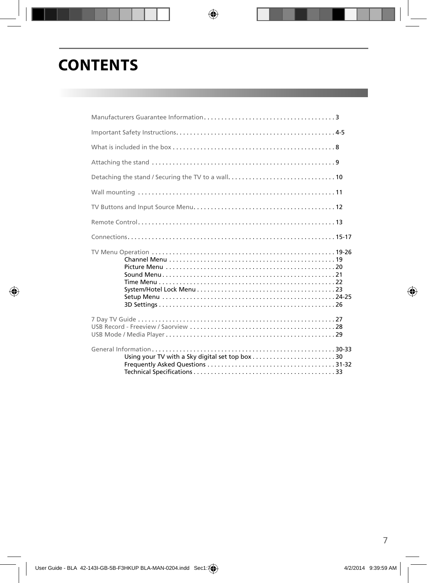## **CONTENTS**

| Using your TV with a Sky digital set top box30 |  |
|------------------------------------------------|--|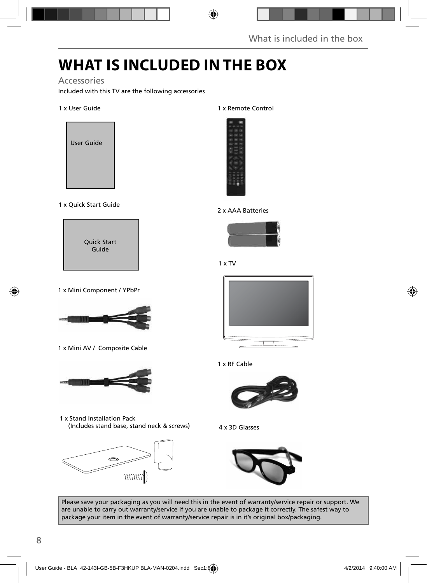## **WHAT IS INCLUDED IN THE BOX**

### Accessories

Included with this TV are the following accessories

#### 1 x User Guide



1 x Quick Start Guide



1 x Mini Component / YPbPr



1 x Mini AV / Composite Cable



1 x Stand Installation Pack (Includes stand base, stand neck & screws)



1 x Remote Control



#### 2 x AAA Batteries



1 x TV







4 x 3D Glasses



Please save your packaging as you will need this in the event of warranty/service repair or support. We are unable to carry out warranty/service if you are unable to package it correctly. The safest way to package your item in the event of warranty/service repair is in it's original box/packaging.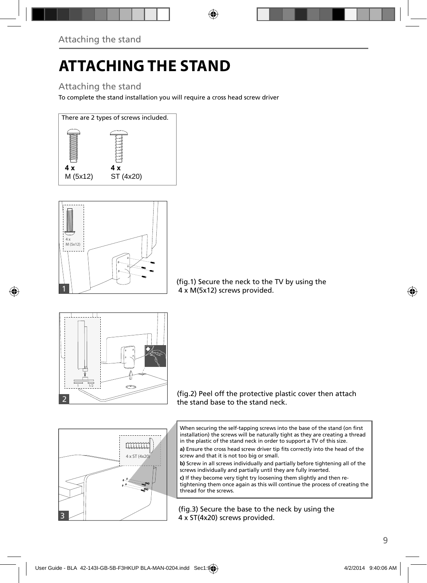# **ATTACHING THE STAND**

### Attaching the stand

To complete the stand installation you will require a cross head screw driver





(fig.1) Secure the neck to the TV by using the 4 x M(5x12) screws provided.



(fig.2) Peel off the protective plastic cover then attach the stand base to the stand neck.

When securing the self-tapping screws into the base of the stand (on first installation) the screws will be naturally tight as they are creating a thread in the plastic of the stand neck in order to support a TV of this size.

a) Ensure the cross head screw driver tip fits correctly into the head of the screw and that it is not too big or small.

**b)** Screw in all screws individually and partially before tightening all of the screws individually and partially until they are fully inserted.

**c)** If they become very tight try loosening them slightly and then retightening them once again as this will continue the process of creating the thread for the screws.

(fig.3) Secure the base to the neck by using the 4 x ST(4x20) screws provided.

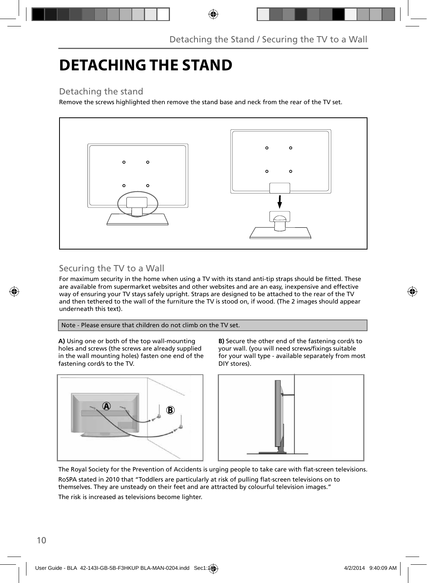## **DETACHING THE STAND**

### Detaching the stand

Remove the screws highlighted then remove the stand base and neck from the rear of the TV set.



### Securing the TV to a Wall

For maximum security in the home when using a TV with its stand anti-tip straps should be fitted. These are available from supermarket websites and other websites and are an easy, inexpensive and effective way of ensuring your TV stays safely upright. Straps are designed to be attached to the rear of the TV and then tethered to the wall of the furniture the TV is stood on, if wood. (The 2 images should appear underneath this text).

Note - Please ensure that children do not climb on the TV set.

**A)** Using one or both of the top wall-mounting holes and screws (the screws are already supplied in the wall mounting holes) fasten one end of the fastening cord/s to the TV.



**B)** Secure the other end of the fastening cord/s to your wall. (you will need screws/fixings suitable for your wall type - available separately from most DIY stores).



The Royal Society for the Prevention of Accidents is urging people to take care with flat-screen televisions. RoSPA stated in 2010 that "Toddlers are particularly at risk of pulling flat-screen televisions on to

themselves. They are unsteady on their feet and are attracted by colourful television images."

The risk is increased as televisions become lighter.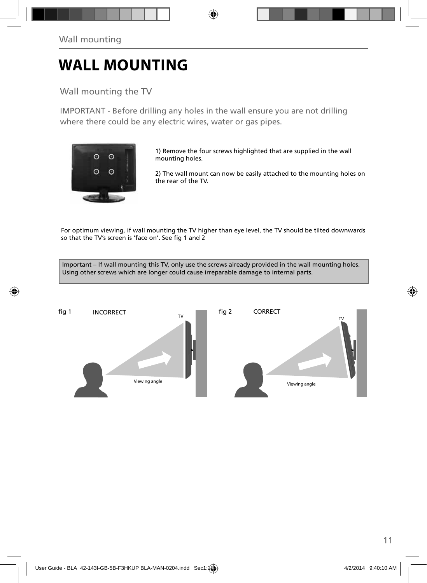## **WALL MOUNTING**

Wall mounting the TV

IMPORTANT - Before drilling any holes in the wall ensure you are not drilling where there could be any electric wires, water or gas pipes.



1) Remove the four screws highlighted that are supplied in the wall mounting holes.

2) The wall mount can now be easily attached to the mounting holes on the rear of the TV.

For optimum viewing, if wall mounting the TV higher than eye level, the TV should be tilted downwards so that the TV's screen is 'face on'. See fig 1 and 2

Important – If wall mounting this TV, only use the screws already provided in the wall mounting holes. Using other screws which are longer could cause irreparable damage to internal parts.

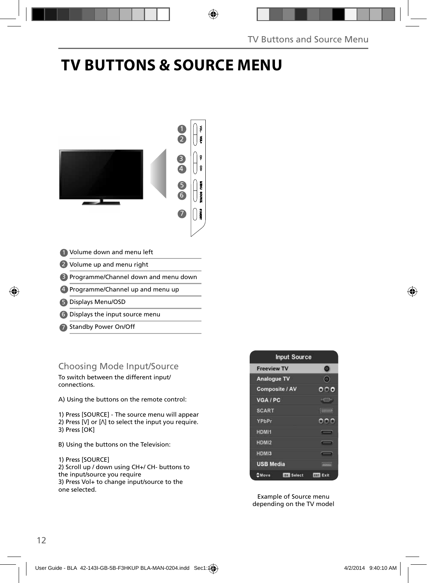## **TV BUTTONS & SOURCE MENU**



- Volume down and menu left 1
- 2 Volume up and menu right
- Programme/Channel down and menu down 3
- 4) Programme/Channel up and menu up
- Displays Menu/OSD 5
- 6) Displays the input source menu
- Standby Power On/Off 7

### Choosing Mode Input/Source

To switch between the different input/ connections.

A) Using the buttons on the remote control:

1) Press [SOURCE] - The source menu will appear 2) Press  $[V]$  or  $[\Lambda]$  to select the input you require. 3) Press [OK]

B) Using the buttons on the Television:

1) Press [SOURCE] 2) Scroll up / down using CH+/ CH- buttons to the input/source you require 3) Press Vol+ to change input/source to the one selected.



Example of Source menu depending on the TV model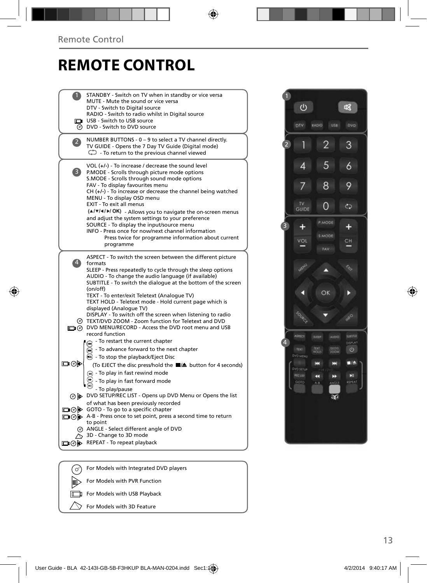### **REMOTE CONTROL**

|                | STANDBY - Switch on TV when in standby or vice versa                                                               |
|----------------|--------------------------------------------------------------------------------------------------------------------|
|                | MUTE - Mute the sound or vice versa<br>DTV - Switch to Digital source                                              |
|                | RADIO - Switch to radio whilst in Digital source                                                                   |
|                | USB - Switch to USB source                                                                                         |
|                | @ DVD - Switch to DVD source                                                                                       |
| $\overline{2}$ | NUMBER BUTTONS - 0 - 9 to select a TV channel directly.                                                            |
|                | TV GUIDE - Opens the 7 Day TV Guide (Digital mode)                                                                 |
|                | $\mathbb{C}$ - To return to the previous channel viewed                                                            |
|                | VOL (+/-) - To increase / decrease the sound level                                                                 |
| 3)             | P.MODE - Scrolls through picture mode options                                                                      |
|                | S.MODE - Scrolls through sound mode options<br>FAV - To display favourites menu                                    |
|                | $CH (+/-)$ - To increase or decrease the channel being watched                                                     |
|                | MENU - To display OSD menu                                                                                         |
|                | EXIT - To exit all menus                                                                                           |
|                | (A/V/4/M/OK) - Allows you to navigate the on-screen menus                                                          |
|                | and adjust the system settings to your preference<br>SOURCE - To display the input/source menu                     |
|                | INFO - Press once for now/next channel information                                                                 |
|                | Press twice for programme information about current                                                                |
|                | programme                                                                                                          |
|                | ASPECT - To switch the screen between the different picture                                                        |
|                | formats                                                                                                            |
|                | SLEEP - Press repeatedly to cycle through the sleep options<br>AUDIO - To change the audio language (if available) |
|                | SUBTITLE - To switch the dialogue at the bottom of the screen                                                      |
|                | (on/off)                                                                                                           |
|                | TEXT - To enter/exit Teletext (Analogue TV)                                                                        |
|                | TEXT HOLD - Teletext mode - Hold current page which is<br>displayed (Analogue TV)                                  |
|                | DISPLAY - To switch off the screen when listening to radio                                                         |
|                | TEXT/DVD ZOOM - Zoom function for Teletext and DVD                                                                 |
|                | DIG DVD MENU/RECORD - Access the DVD root menu and USB                                                             |
|                | record function                                                                                                    |
|                | - To restart the current chapter                                                                                   |
|                | - To advance forward to the next chapter<br>$\blacksquare$<br><b>B</b> - To stop the playback/Eject Disc           |
| ⊉⊚⊫            | (To EJECT the disc press/hold the ■/▲ button for 4 seconds)                                                        |
|                |                                                                                                                    |
|                | - To play in fast rewind mode                                                                                      |
|                | To play in fast forward mode                                                                                       |
| ⊚ ⊫⊳           | - To play/pause<br>DVD SETUP/REC LIST - Opens up DVD Menu or Opens the list                                        |
|                | of what has been previously recorded                                                                               |
|                | □⊙▶ GOTO - To go to a specific chapter                                                                             |
|                | → ⊙ → A-B - Press once to set point, press a second time to return                                                 |
|                | to point                                                                                                           |
|                | ANGLE - Select different angle of DVD<br>3D - Change to 3D mode                                                    |
| ∎Թ Խ           | REPEAT - To repeat playback                                                                                        |
|                |                                                                                                                    |
|                |                                                                                                                    |
|                |                                                                                                                    |



For Models with Integrated DVD players  $\circlearrowright$ For Models with PVR Function

For Models with USB Playback

 $\bigtriangleup$ For Models with 3D Feature

间  $\Box$ ╖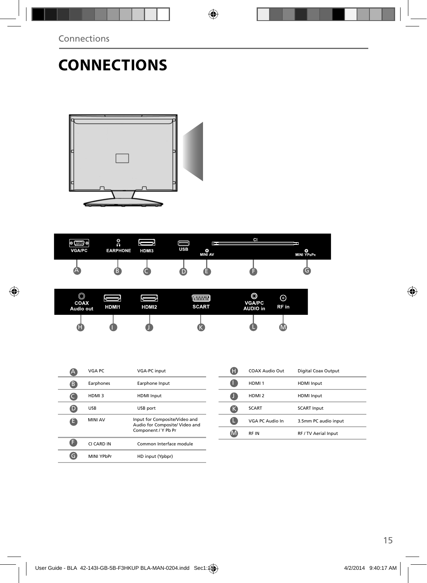# **CONNECTIONS**





| ⋒<br>رب<br>COAX<br>Audio out | HDMI1 | HDMI2 | <b>MARKANI</b><br><b>SCART</b> | O<br><b>VGA/PC</b><br><b>AUDIO</b> in | ര<br>RF in |  |
|------------------------------|-------|-------|--------------------------------|---------------------------------------|------------|--|
| Œ                            |       |       |                                |                                       | (IVI)      |  |

|   | VGA PC         | <b>VGA-PC input</b>                                                                    |
|---|----------------|----------------------------------------------------------------------------------------|
| в | Earphones      | Earphone Input                                                                         |
|   | HDMI3          | <b>HDMI</b> Input                                                                      |
|   | <b>USB</b>     | USB port                                                                               |
| e | <b>MINI AV</b> | Input for Composite/Video and<br>Audio for Composite/ Video and<br>Component / Y Pb Pr |
|   | CI CARD IN     | Common Interface module                                                                |
|   | MINI YPbPr     | HD input (Ypbpr)                                                                       |

| Œ  | COAX Audio Out    | Digital Coax Output  |
|----|-------------------|----------------------|
|    | HDMI <sub>1</sub> | <b>HDMI</b> Input    |
|    | HDMI <sub>2</sub> | <b>HDMI</b> Input    |
| 43 | <b>SCART</b>      | <b>SCART Input</b>   |
| 41 | VGA PC Audio In   | 3.5mm PC audio input |
|    | <b>RFIN</b>       | RF / TV Aerial Input |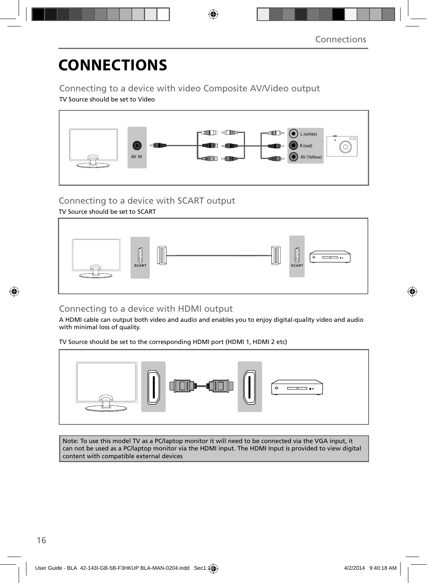# **CONNECTIONS**

Connecting to a device with video Composite AV/Video output

TV Source should be set to Video



### Connecting to a device with SCART output

TV Source should be set to SCART



### Connecting to a device with HDMI output

A HDMI cable can output both video and audio and enables you to enjoy digital-quality video and audio with minimal loss of quality.

TV Source should be set to the corresponding HDMI port (HDMI 1, HDMI 2 etc)



Note: To use this model TV as a PC/laptop monitor it will need to be connected via the VGA input, it can not be used as a PC/laptop monitor via the HDMI input. The HDMI Input is provided to view digital content with compatible external devices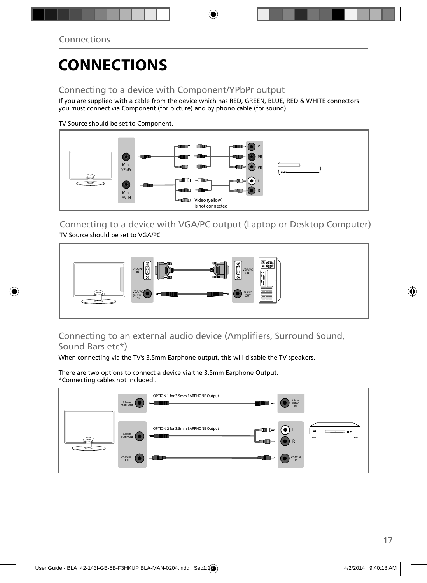## **CONNECTIONS**

### Connecting to a device with Component/YPbPr output

If you are supplied with a cable from the device which has RED, GREEN, BLUE, RED & WHITE connectors you must connect via Component (for picture) and by phono cable (for sound).

TV Source should be set to Component.



Connecting to a device with VGA/PC output (Laptop or Desktop Computer) TV Source should be set to VGA/PC



### Connecting to an external audio device (Amplifiers, Surround Sound, Sound Bars etc\*)

When connecting via the TV's 3.5mm Earphone output, this will disable the TV speakers.

There are two options to connect a device via the 3.5mm Earphone Output. \*Connecting cables not included .

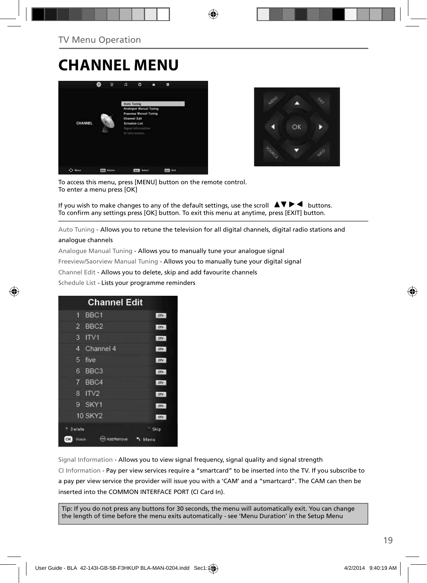## **CHANNEL MENU**





To access this menu, press [MENU] button on the remote control. To enter a menu press [OK]

If you wish to make changes to any of the default settings, use the scroll  $\blacktriangle \blacktriangledown \blacktriangleright \blacktriangleleft$  buttons. To confirm any settings press [OK] button. To exit this menu at anytime, press [EXIT] button.

Auto Tuning - Allows you to retune the television for all digital channels, digital radio stations and

#### analogue channels

Analogue Manual Tuning - Allows you to manually tune your analogue signal

Freeview/Saorview Manual Tuning - Allows you to manually tune your digital signal

Channel Edit - Allows you to delete, skip and add favourite channels

Schedule List - Lists your programme reminders



Signal Information - Allows you to view signal frequency, signal quality and signal strength CI Information - Pay per view services require a "smartcard" to be inserted into the TV. If you subscribe to a pay per view service the provider will issue you with a 'CAM' and a "smartcard". The CAM can then be inserted into the COMMON INTERFACE PORT (CI Card In).

Tip: If you do not press any buttons for 30 seconds, the menu will automatically exit. You can change the length of time before the menu exits automatically - see 'Menu Duration' in the Setup Menu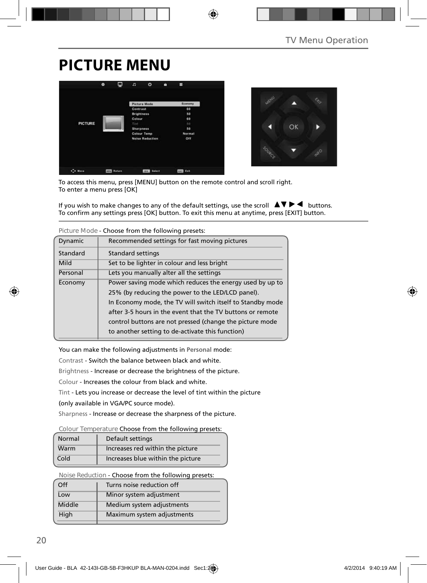## **PICTURE MENU**





To access this menu, press [MENU] button on the remote control and scroll right. To enter a menu press [OK]

If you wish to make changes to any of the default settings, use the scroll  $\blacktriangle \blacktriangledown \blacktriangleright \blacktriangleleft$  buttons. To confirm any settings press [OK] button. To exit this menu at anytime, press [EXIT] button.

| Figure Mode - Choose Holli the Tonowing presets.                    |                                                  |  |  |
|---------------------------------------------------------------------|--------------------------------------------------|--|--|
| Dynamic                                                             | Recommended settings for fast moving pictures    |  |  |
| Standard                                                            | <b>Standard settings</b>                         |  |  |
| Mild                                                                | Set to be lighter in colour and less bright      |  |  |
| Personal                                                            | Lets you manually alter all the settings         |  |  |
| Power saving mode which reduces the energy used by up to<br>Economy |                                                  |  |  |
| 25% (by reducing the power to the LED/LCD panel).                   |                                                  |  |  |
| In Economy mode, the TV will switch itself to Standby mode          |                                                  |  |  |
| after 3-5 hours in the event that the TV buttons or remote          |                                                  |  |  |
| control buttons are not pressed (change the picture mode            |                                                  |  |  |
|                                                                     | to another setting to de-activate this function) |  |  |
|                                                                     |                                                  |  |  |

**Picture Mode** - Choose from the following presets:

You can make the following adjustments in **Personal** mode:

Contrast - Switch the balance between black and white.

Brightness - Increase or decrease the brightness of the picture.

Colour - Increases the colour from black and white.

Tint - Lets you increase or decrease the level of tint within the picture

(only available in VGA/PC source mode).

Sharpness - Increase or decrease the sharpness of the picture.

**Colour Temperature** Choose from the following presets:

| Normal | Default settings                  |
|--------|-----------------------------------|
| Warm   | Increases red within the picture  |
| Cold   | Increases blue within the picture |

**Noise Reduction** - Choose from the following presets:

| Off    | Turns noise reduction off  |  |
|--------|----------------------------|--|
| Low    | Minor system adjustment    |  |
| Middle | Medium system adjustments  |  |
| High   | Maximum system adjustments |  |
|        |                            |  |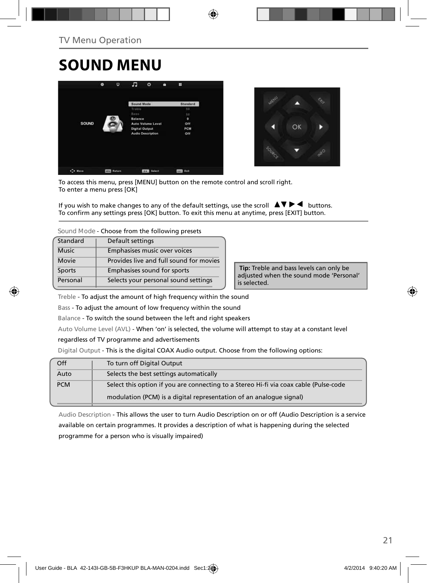## **SOUND MENU**





To access this menu, press [MENU] button on the remote control and scroll right. To enter a menu press [OK]

If you wish to make changes to any of the default settings, use the scroll  $\Delta \nabla \blacktriangleright$   $\blacktriangleleft$  buttons. To confirm any settings press [OK] button. To exit this menu at anytime, press [EXIT] button.

**Sound Mode** - Choose from the following presets

| Standard     | Default settings                        |  |
|--------------|-----------------------------------------|--|
| <b>Music</b> | Emphasises music over voices            |  |
| Movie        | Provides live and full sound for movies |  |
| Sports       | Emphasises sound for sports             |  |
| Personal     | Selects your personal sound settings    |  |

 **Tip:** Treble and bass levels can only be adjusted when the sound mode 'Personal' is selected.

Treble - To adjust the amount of high frequency within the sound

Bass - To adjust the amount of low frequency within the sound

Balance - To switch the sound between the left and right speakers

Auto Volume Level (AVL) - When 'on' is selected, the volume will attempt to stay at a constant level

#### regardless of TV programme and advertisements

Digital Output - This is the digital COAX Audio output. Choose from the following options:

| Off        | To turn off Digital Output                                                            |
|------------|---------------------------------------------------------------------------------------|
| Auto       | Selects the best settings automatically                                               |
| <b>PCM</b> | Select this option if you are connecting to a Stereo Hi-fi via coax cable (Pulse-code |
|            | modulation (PCM) is a digital representation of an analogue signal)                   |

Audio Description - This allows the user to turn Audio Description on or off (Audio Description is a service available on certain programmes. It provides a description of what is happening during the selected programme for a person who is visually impaired)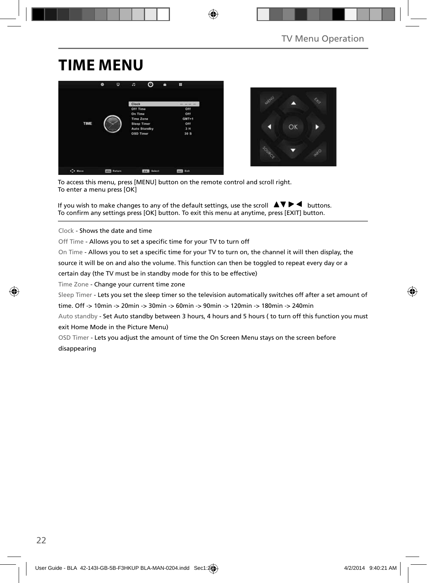## **TIME MENU**





To access this menu, press [MENU] button on the remote control and scroll right. To enter a menu press [OK]

If you wish to make changes to any of the default settings, use the scroll  $\blacktriangle \blacktriangledown \blacktriangleright \blacktriangleleft$  buttons. To confirm any settings press [OK] button. To exit this menu at anytime, press [EXIT] button.

Clock - Shows the date and time

Off Time - Allows you to set a specific time for your TV to turn off

On Time - Allows you to set a specific time for your TV to turn on, the channel it will then display, the

source it will be on and also the volume. This function can then be toggled to repeat every day or a

certain day (the TV must be in standby mode for this to be effective)

Time Zone - Change your current time zone

Sleep Timer - Lets you set the sleep timer so the television automatically switches off after a set amount of

time. Off -> 10min -> 20min -> 30min -> 60min -> 90min -> 120min -> 180min -> 240min

Auto standby - Set Auto standby between 3 hours, 4 hours and 5 hours ( to turn off this function you must exit Home Mode in the Picture Menu)

OSD Timer - Lets you adjust the amount of time the On Screen Menu stays on the screen before disappearing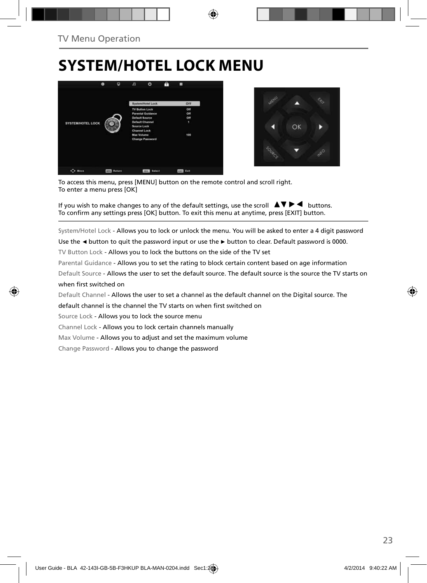## **SYSTEM/HOTEL LOCK MENU**





To access this menu, press [MENU] button on the remote control and scroll right. To enter a menu press [OK]

If you wish to make changes to any of the default settings, use the scroll  $\blacktriangle \blacktriangledown \blacktriangleright \blacktriangleleft$  buttons. To confirm any settings press [OK] button. To exit this menu at anytime, press [EXIT] button.

System/Hotel Lock - Allows you to lock or unlock the menu. You will be asked to enter a 4 digit password

Use the **◄** button to quit the password input or use the **►** button to clear. Default password is 0000.

TV Button Lock - Allows you to lock the buttons on the side of the TV set

Parental Guidance - Allows you to set the rating to block certain content based on age information

Default Source - Allows the user to set the default source. The default source is the source the TV starts on when first switched on

Default Channel - Allows the user to set a channel as the default channel on the Digital source. The

default channel is the channel the TV starts on when first switched on

Source Lock - Allows you to lock the source menu

Channel Lock - Allows you to lock certain channels manually

Max Volume - Allows you to adjust and set the maximum volume

Change Password - Allows you to change the password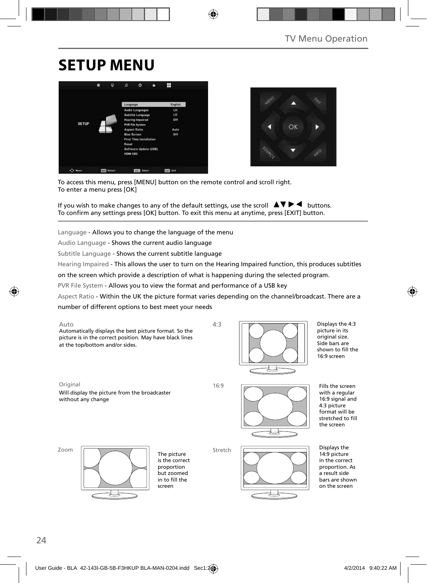## **SETUP MENU**





To access this menu, press [MENU] button on the remote control and scroll right. To enter a menu press [OK]

If you wish to make changes to any of the default settings, use the scroll  $\Box \Box \blacktriangleright \blacktriangleleft$  buttons. To confirm any settings press [OK] button. To exit this menu at anytime, press [EXIT] button.

Language - Allows you to change the language of the menu

Audio Language - Shows the current audio language

Subtitle Language - Shows the current subtitle language

Hearing Impaired - This allows the user to turn on the Hearing Impaired function, this produces subtitles

on the screen which provide a description of what is happening during the selected program.

PVR File System - Allows you to view the format and performance of a USB key

Aspect Ratio - Within the UK the picture format varies depending on the channel/broadcast. There are a

number of different options to best meet your needs

#### Auto

Automatically displays the best picture format. So the picture is in the correct position. May have black lines at the top/bottom and/or sides.



Displays the 4:3 picture in its original size. Side bars are shown to fill the 16:9 screen

Original 16:9 Will display the picture from the broadcaster without any change

4:3

Stretch



Fills the screen with a regular 16:9 signal and 4:3 picture format will be stretched to fill the screen

Zoom



The picture is the correct proportion but zoomed in to fill the screen



Displays the 14:9 picture in the correct proportion. As a result side bars are shown

on the screen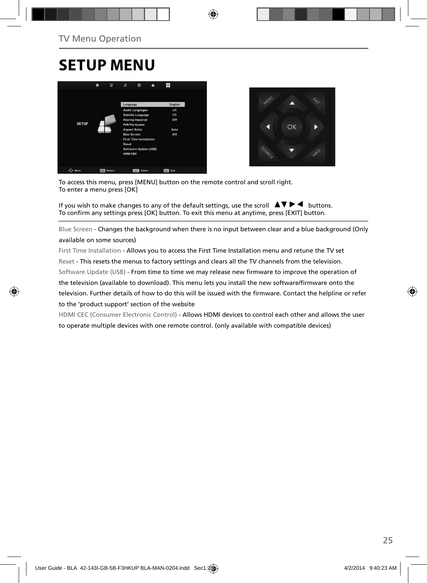## **SETUP MENU**





To access this menu, press [MENU] button on the remote control and scroll right. To enter a menu press [OK]

If you wish to make changes to any of the default settings, use the scroll  $\Delta \nabla \blacktriangleright$   $\blacktriangleleft$  buttons. To confirm any settings press [OK] button. To exit this menu at anytime, press [EXIT] button.

Blue Screen - Changes the background when there is no input between clear and a blue background (Only available on some sources)

First Time Installation - Allows you to access the First Time Installation menu and retune the TV set Reset - This resets the menus to factory settings and clears all the TV channels from the television. Software Update (USB) - From time to time we may release new firmware to improve the operation of the television (available to download). This menu lets you install the new software/firmware onto the television. Further details of how to do this will be issued with the firmware. Contact the helpline or refer to the 'product support' section of the website

HDMI CEC (Consumer Electronic Control) - Allows HDMI devices to control each other and allows the user to operate multiple devices with one remote control. (only available with compatible devices)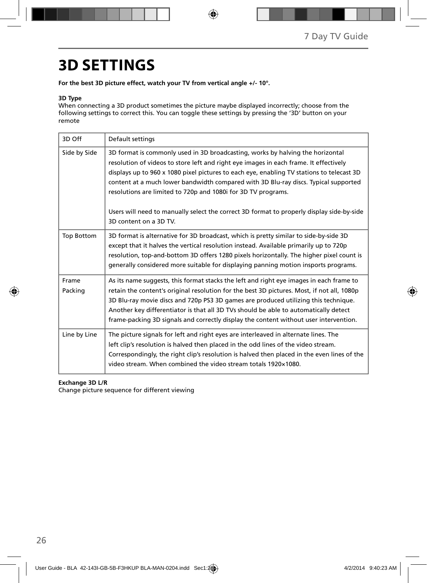## **3D SETTINGS**

**For the best 3D picture effect, watch your TV from vertical angle +/- 10°.**

#### **3D Type**

When connecting a 3D product sometimes the picture maybe displayed incorrectly; choose from the following settings to correct this. You can toggle these settings by pressing the '3D' button on your remote

| 3D Off            | Default settings                                                                                                                                                                                                                                                                                                                                                                                                                                                                                                                                    |
|-------------------|-----------------------------------------------------------------------------------------------------------------------------------------------------------------------------------------------------------------------------------------------------------------------------------------------------------------------------------------------------------------------------------------------------------------------------------------------------------------------------------------------------------------------------------------------------|
| Side by Side      | 3D format is commonly used in 3D broadcasting, works by halving the horizontal<br>resolution of videos to store left and right eye images in each frame. It effectively<br>displays up to 960 x 1080 pixel pictures to each eye, enabling TV stations to telecast 3D<br>content at a much lower bandwidth compared with 3D Blu-ray discs. Typical supported<br>resolutions are limited to 720p and 1080i for 3D TV programs.<br>Users will need to manually select the correct 3D format to properly display side-by-side<br>3D content on a 3D TV. |
| <b>Top Bottom</b> | 3D format is alternative for 3D broadcast, which is pretty similar to side-by-side 3D<br>except that it halves the vertical resolution instead. Available primarily up to 720p<br>resolution, top-and-bottom 3D offers 1280 pixels horizontally. The higher pixel count is<br>generally considered more suitable for displaying panning motion insports programs.                                                                                                                                                                                   |
| Frame<br>Packing  | As its name suggests, this format stacks the left and right eye images in each frame to<br>retain the content's original resolution for the best 3D pictures. Most, if not all, 1080p<br>3D Blu-ray movie discs and 720p PS3 3D games are produced utilizing this technique.<br>Another key differentiator is that all 3D TVs should be able to automatically detect<br>frame-packing 3D signals and correctly display the content without user intervention.                                                                                       |
| Line by Line      | The picture signals for left and right eyes are interleaved in alternate lines. The<br>left clip's resolution is halved then placed in the odd lines of the video stream.<br>Correspondingly, the right clip's resolution is halved then placed in the even lines of the<br>video stream. When combined the video stream totals 1920×1080.                                                                                                                                                                                                          |

#### **Exchange 3D L/R**

Change picture sequence for different viewing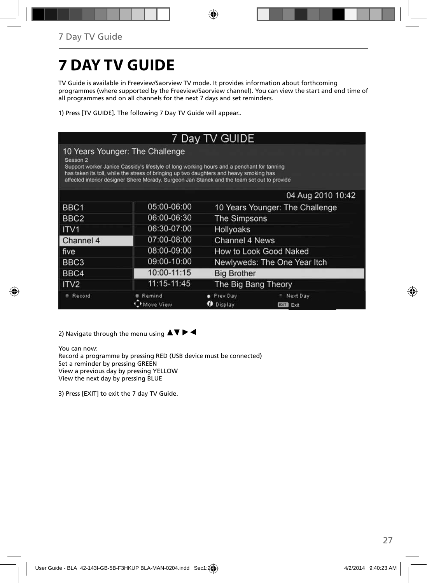# **7 DAY TV GUIDE**

TV Guide is available in Freeview/Saorview TV mode. It provides information about forthcoming programmes (where supported by the Freeview/Saorview channel). You can view the start and end time of all programmes and on all channels for the next 7 days and set reminders.

1) Press [TV GUIDE]. The following 7 Day TV Guide will appear..

| 7 Day TV GUIDE   |                                                                                                                                                                                                                                                                                                                         |                                                              |                                 |  |
|------------------|-------------------------------------------------------------------------------------------------------------------------------------------------------------------------------------------------------------------------------------------------------------------------------------------------------------------------|--------------------------------------------------------------|---------------------------------|--|
| Season 2         | 10 Years Younger: The Challenge<br>Support worker Janice Cassidy's lifestyle of long working hours and a penchant for tanning<br>has taken its toll, while the stress of bringing up two daughters and heavy smoking has<br>affected interior designer Shere Morady. Surgeon Jan Stanek and the team set out to provide |                                                              |                                 |  |
|                  |                                                                                                                                                                                                                                                                                                                         |                                                              | 04 Aug 2010 10:42               |  |
| BBC1             | 05:00-06:00                                                                                                                                                                                                                                                                                                             |                                                              | 10 Years Younger: The Challenge |  |
| BBC <sub>2</sub> | 06:00-06:30                                                                                                                                                                                                                                                                                                             | The Simpsons                                                 |                                 |  |
| <b>ITV1</b>      | 06:30-07:00                                                                                                                                                                                                                                                                                                             | Hollyoaks                                                    |                                 |  |
| Channel 4        | 07:00-08:00                                                                                                                                                                                                                                                                                                             | Channel 4 News                                               |                                 |  |
| l five           | 08:00-09:00                                                                                                                                                                                                                                                                                                             | How to Look Good Naked                                       |                                 |  |
| BBC3             | 09:00-10:00                                                                                                                                                                                                                                                                                                             | Newlyweds: The One Year Itch                                 |                                 |  |
| BBC4             | 10:00-11:15                                                                                                                                                                                                                                                                                                             | <b>Big Brother</b>                                           |                                 |  |
| ITV2             | 11:15-11:45                                                                                                                                                                                                                                                                                                             | The Big Bang Theory                                          |                                 |  |
| Record           | Remind<br>ove View                                                                                                                                                                                                                                                                                                      | Prev Day<br>Next Day<br>Display<br>59<br>Exit<br><b>EXIT</b> |                                 |  |

2) Navigate through the menu using  $\blacktriangle \blacktriangledown \blacktriangleright \blacktriangleleft$ 

You can now: Record a programme by pressing RED (USB device must be connected) Set a reminder by pressing GREEN View a previous day by pressing YELLOW View the next day by pressing BLUE

3) Press [EXIT] to exit the 7 day TV Guide.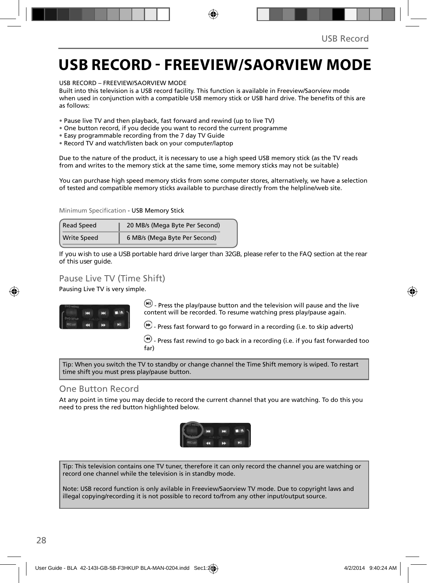### **USB RECORD - FREEVIEW/SAORVIEW MODE**

USB RECORD – FREEVIEW/SAORVIEW MODE

Built into this television is a USB record facility. This function is available in Freeview/Saorview mode when used in conjunction with a compatible USB memory stick or USB hard drive. The benefits of this are as follows:

- Pause live TV and then playback, fast forward and rewind (up to live TV)
- One button record, if you decide you want to record the current programme
- Easy programmable recording from the 7 day TV Guide
- Record TV and watch/listen back on your computer/laptop

Due to the nature of the product, it is necessary to use a high speed USB memory stick (as the TV reads from and writes to the memory stick at the same time, some memory sticks may not be suitable)

You can purchase high speed memory sticks from some computer stores, alternatively, we have a selection of tested and compatible memory sticks available to purchase directly from the helpline/web site.

Minimum Specification - USB Memory Stick

| Read Speed         | 20 MB/s (Mega Byte Per Second) |  |
|--------------------|--------------------------------|--|
| <b>Write Speed</b> | 6 MB/s (Mega Byte Per Second)  |  |

**If you wish to use a USB portable hard drive larger than 32GB, please refer to the FAQ section at the rear of this user guide.**

### Pause Live TV (Time Shift)

Pausing Live TV is very simple.



 $(W)$  - Press the play/pause button and the television will pause and the live content will be recorded. To resume watching press play/pause again.

 $\bigcirc$  - Press fast forward to go forward in a recording (i.e. to skip adverts)

 $\textcircled{\tiny{\textbf{+}}}$  Press fast rewind to go back in a recording (i.e. if you fast forwarded too far)

Tip: When you switch the TV to standby or change channel the Time Shift memory is wiped. To restart time shift you must press play/pause button.

### One Button Record

At any point in time you may decide to record the current channel that you are watching. To do this you need to press the red button highlighted below.



Tip: This television contains one TV tuner, therefore it can only record the channel you are watching or record one channel while the television is in standby mode.

Note: USB record function is only avilable in Freeview/Saorview TV mode. Due to copyright laws and illegal copying/recording it is not possible to record to/from any other input/output source.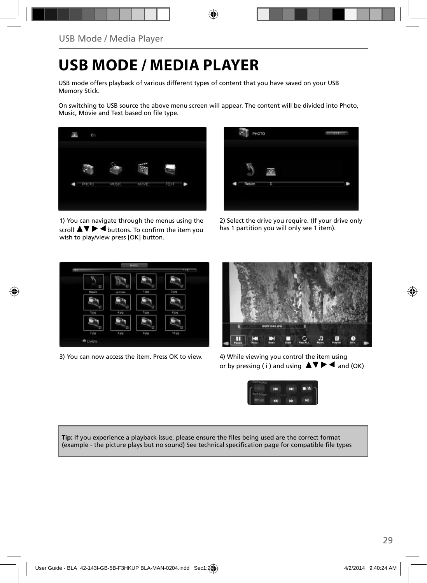## **USB MODE / MEDIA PLAYER**

USB mode offers playback of various different types of content that you have saved on your USB Memory Stick.

On switching to USB source the above menu screen will appear. The content will be divided into Photo, Music, Movie and Text based on file type.



1) You can navigate through the menus using the scroll  $\triangle \triangledown \triangleright \triangleleft$  buttons. To confirm the item you wish to play/view press [OK] button.



2) Select the drive you require. (If your drive only has 1 partition you will only see 1 item).



3) You can now access the item. Press OK to view. 4) While viewing you control the item using



or by pressing ( i ) and using  $\blacktriangle \blacktriangledown \blacktriangleright \blacktriangleleft$  and (OK)



Tip: If you experience a playback issue, please ensure the files being used are the correct format (example - the picture plays but no sound) See technical specification page for compatible file types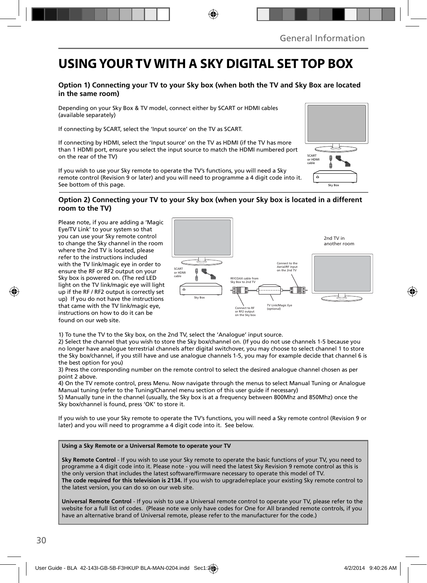### **USING YOUR TV WITH A SKY DIGITAL SET TOP BOX**

#### **Option 1) Connecting your TV to your Sky box (when both the TV and Sky Box are located in the same room)**

Depending on your Sky Box & TV model, connect either by SCART or HDMI cables (available separately)

If connecting by SCART, select the 'Input source' on the TV as SCART.

If connecting by HDMI, select the 'Input source' on the TV as HDMI (if the TV has more than 1 HDMI port, ensure you select the input source to match the HDMI numbered port on the rear of the TV)

If you wish to use your Sky remote to operate the TV's functions, you will need a Sky remote control (Revision 9 or later) and you will need to programme a 4 digit code into it. See bottom of this page.

#### **Option 2) Connecting your TV to your Sky box (when your Sky box is located in a different room to the TV)**

Please note, if you are adding a 'Magic Eye/TV Link' to your system so that you can use your Sky remote control to change the Sky channel in the room where the 2nd TV is located, please refer to the instructions included with the TV link/magic eye in order to ensure the RF or RF2 output on your Sky box is powered on. (The red LED light on the TV link/magic eye will light up if the RF / RF2 output is correctly set up) If you do not have the instructions that came with the TV link/magic eye, instructions on how to do it can be found on our web site.



1) To tune the TV to the Sky box, on the 2nd TV, select the 'Analogue' input source.

2) Select the channel that you wish to store the Sky box/channel on. (If you do not use channels 1-5 because you no longer have analogue terrestrial channels after digital switchover, you may choose to select channel 1 to store the Sky box/channel, if you still have and use analogue channels 1-5, you may for example decide that channel 6 is the best option for you)

3) Press the corresponding number on the remote control to select the desired analogue channel chosen as per point 2 above.

4) On the TV remote control, press Menu. Now navigate through the menus to select Manual Tuning or Analogue Manual tuning (refer to the Tuning/Channel menu section of this user guide if necessary)

5) Manually tune in the channel (usually, the Sky box is at a frequency between 800Mhz and 850Mhz) once the Sky box/channel is found, press 'OK' to store it.

If you wish to use your Sky remote to operate the TV's functions, you will need a Sky remote control (Revision 9 or later) and you will need to programme a 4 digit code into it. See below.

#### **Using a Sky Remote or a Universal Remote to operate your TV**

**Sky Remote Control** - If you wish to use your Sky remote to operate the basic functions of your TV, you need to programme a 4 digit code into it. Please note - you will need the latest Sky Revision 9 remote control as this is the only version that includes the latest software/firmware necessary to operate this model of TV. **The code required for this television is 2134.** If you wish to upgrade/replace your existing Sky remote control to the latest version, you can do so on our web site.

**Universal Remote Control** - If you wish to use a Universal remote control to operate your TV, please refer to the website for a full list of codes. (Please note we only have codes for One for All branded remote controls, if you have an alternative brand of Universal remote, please refer to the manufacturer for the code.)

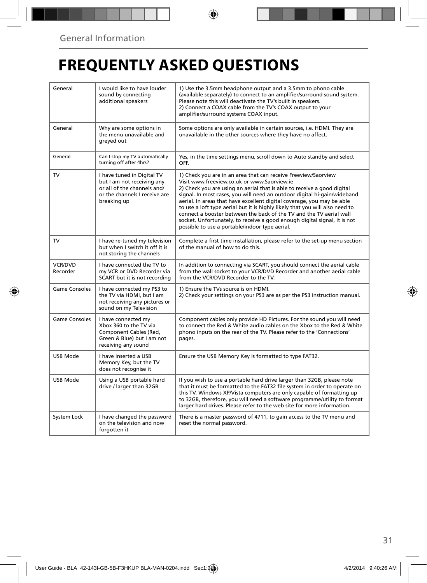## **FREQUENTLY ASKED QUESTIONS**

| General              | I would like to have louder<br>sound by connecting<br>additional speakers                                                               | 1) Use the 3.5mm headphone output and a 3.5mm to phono cable<br>(available separately) to connect to an amplifier/surround sound system.<br>Please note this will deactivate the TV's built in speakers.<br>2) Connect a COAX cable from the TV's COAX output to your<br>amplifier/surround systems COAX input.                                                                                                                                                                                                                                                                                                                      |  |  |
|----------------------|-----------------------------------------------------------------------------------------------------------------------------------------|--------------------------------------------------------------------------------------------------------------------------------------------------------------------------------------------------------------------------------------------------------------------------------------------------------------------------------------------------------------------------------------------------------------------------------------------------------------------------------------------------------------------------------------------------------------------------------------------------------------------------------------|--|--|
| General              | Why are some options in<br>the menu unavailable and<br>greyed out                                                                       | Some options are only available in certain sources, i.e. HDMI. They are<br>unavailable in the other sources where they have no affect.                                                                                                                                                                                                                                                                                                                                                                                                                                                                                               |  |  |
| General              | Can I stop my TV automatically<br>turning off after 4hrs?                                                                               | Yes, in the time settings menu, scroll down to Auto standby and select<br>OFF.                                                                                                                                                                                                                                                                                                                                                                                                                                                                                                                                                       |  |  |
| TV                   | I have tuned in Digital TV<br>but I am not receiving any<br>or all of the channels and/<br>or the channels I receive are<br>breaking up | 1) Check you are in an area that can receive Freeview/Saorview<br>Visit www.freeview.co.uk or www.Saorview.ie<br>2) Check you are using an aerial that is able to receive a good digital<br>signal. In most cases, you will need an outdoor digital hi-gain/wideband<br>aerial. In areas that have excellent digital coverage, you may be able<br>to use a loft type aerial but it is highly likely that you will also need to<br>connect a booster between the back of the TV and the TV aerial wall<br>socket. Unfortunately, to receive a good enough digital signal, it is not<br>possible to use a portable/indoor type aerial. |  |  |
| TV                   | I have re-tuned my television<br>but when I switch it off it is<br>not storing the channels                                             | Complete a first time installation, please refer to the set-up menu section<br>of the manual of how to do this.                                                                                                                                                                                                                                                                                                                                                                                                                                                                                                                      |  |  |
| VCR/DVD<br>Recorder  | I have connected the TV to<br>my VCR or DVD Recorder via<br>SCART but it is not recording                                               | In addition to connecting via SCART, you should connect the aerial cable<br>from the wall socket to your VCR/DVD Recorder and another aerial cable<br>from the VCR/DVD Recorder to the TV.                                                                                                                                                                                                                                                                                                                                                                                                                                           |  |  |
| <b>Game Consoles</b> | I have connected my PS3 to<br>the TV via HDMI, but I am<br>not receiving any pictures or<br>sound on my Television                      | 1) Ensure the TVs source is on HDMI.<br>2) Check your settings on your PS3 are as per the PS3 instruction manual.                                                                                                                                                                                                                                                                                                                                                                                                                                                                                                                    |  |  |
| <b>Game Consoles</b> | I have connected my<br>Xbox 360 to the TV via<br>Component Cables (Red,<br>Green & Blue) but I am not<br>receiving any sound            | Component cables only provide HD Pictures. For the sound you will need<br>to connect the Red & White audio cables on the Xbox to the Red & White<br>phono inputs on the rear of the TV. Please refer to the 'Connections'<br>pages.                                                                                                                                                                                                                                                                                                                                                                                                  |  |  |
| <b>USB Mode</b>      | I have inserted a USB<br>Memory Key, but the TV<br>does not recognise it                                                                | Ensure the USB Memory Key is formatted to type FAT32.                                                                                                                                                                                                                                                                                                                                                                                                                                                                                                                                                                                |  |  |
| USB Mode             | Using a USB portable hard<br>drive / larger than 32GB                                                                                   | If you wish to use a portable hard drive larger than 32GB, please note<br>that it must be formatted to the FAT32 file system in order to operate on<br>this TV. Windows XP/Vista computers are only capable of formatting up<br>to 32GB, therefore, you will need a software programme/utility to format<br>larger hard drives. Please refer to the web site for more information.                                                                                                                                                                                                                                                   |  |  |
| System Lock          | I have changed the password<br>on the television and now<br>forgotten it                                                                | There is a master password of 4711, to gain access to the TV menu and<br>reset the normal password.                                                                                                                                                                                                                                                                                                                                                                                                                                                                                                                                  |  |  |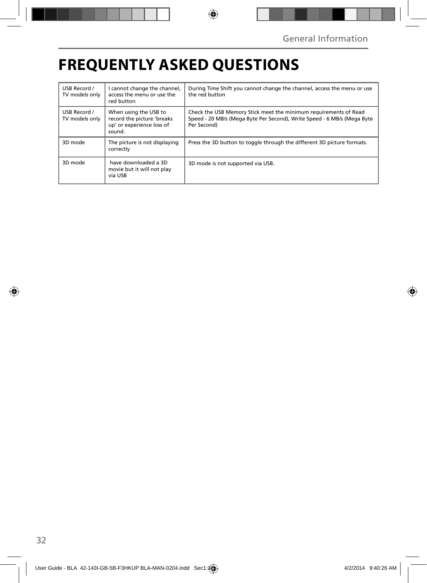## **FREQUENTLY ASKED QUESTIONS**

| USB Record /<br>TV models only | I cannot change the channel,<br>access the menu or use the<br>red button                   | During Time Shift you cannot change the channel, access the menu or use<br>the red button                                                                  |
|--------------------------------|--------------------------------------------------------------------------------------------|------------------------------------------------------------------------------------------------------------------------------------------------------------|
| USB Record /<br>TV models only | When using the USB to<br>record the picture 'breaks<br>up' or experience loss of<br>sound. | Check the USB Memory Stick meet the minimum requirements of Read<br>Speed - 20 MB/s (Mega Byte Per Second), Write Speed - 6 MB/s (Mega Byte<br>Per Second) |
| 3D mode                        | The picture is not displaying<br>correctly                                                 | Press the 3D button to toggle through the different 3D picture formats.                                                                                    |
| 3D mode                        | have downloaded a 3D<br>movie but it will not play<br>via USB                              | 3D mode is not supported via USB.                                                                                                                          |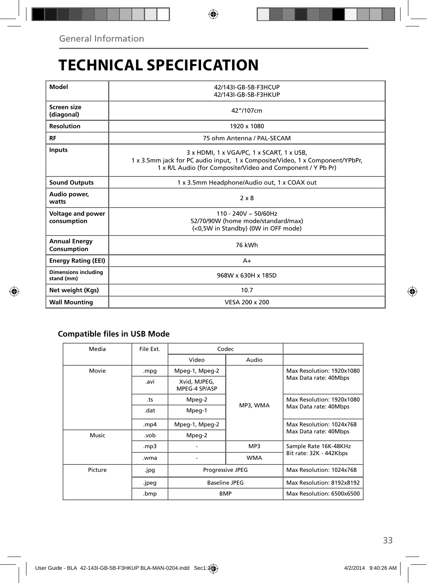## **TECHNICAL SPECIFICATION**

| Model                                     | 42/143I-GB-5B-F3HCUP<br>42/143I-GB-5B-F3HKUP                                                                                                                                             |  |  |  |
|-------------------------------------------|------------------------------------------------------------------------------------------------------------------------------------------------------------------------------------------|--|--|--|
| Screen size<br>(diagonal)                 | 42"/107cm                                                                                                                                                                                |  |  |  |
| <b>Resolution</b>                         | 1920 x 1080                                                                                                                                                                              |  |  |  |
| <b>RF</b>                                 | 75 ohm Antenna / PAL-SECAM                                                                                                                                                               |  |  |  |
| <b>Inputs</b>                             | 3 x HDMI, 1 x VGA/PC, 1 x SCART, 1 x USB,<br>1 x 3.5mm jack for PC audio input, 1 x Composite/Video, 1 x Component/YPbPr,<br>1 x R/L Audio (for Composite/Video and Component / Y Pb Pr) |  |  |  |
| <b>Sound Outputs</b>                      | 1 x 3.5mm Headphone/Audio out, 1 x COAX out                                                                                                                                              |  |  |  |
| Audio power,<br>watts                     | $2 \times 8$                                                                                                                                                                             |  |  |  |
| Voltage and power<br>consumption          | $110 - 240V \sim 50/60Hz$<br>52/70/90W (home mode/standard/max)<br>(<0,5W in Standby) (0W in OFF mode)                                                                                   |  |  |  |
| <b>Annual Energy</b><br>Consumption       | 76 kWh                                                                                                                                                                                   |  |  |  |
| <b>Energy Rating (EEI)</b>                | A+                                                                                                                                                                                       |  |  |  |
| <b>Dimensions including</b><br>stand (mm) | 968W x 630H x 185D                                                                                                                                                                       |  |  |  |
| Net weight (Kgs)                          | 10.7                                                                                                                                                                                     |  |  |  |
| <b>Wall Mounting</b>                      | VESA 200 x 200                                                                                                                                                                           |  |  |  |

### **Compatible files in USB Mode**

| Media   | File Ext. | Codec                         |                               |                                                    |  |  |
|---------|-----------|-------------------------------|-------------------------------|----------------------------------------------------|--|--|
|         |           | Video                         | Audio                         |                                                    |  |  |
| Movie   | mpg.      | Mpeg-1, Mpeg-2                | MP3, WMA<br>MP3<br><b>WMA</b> | Max Resolution: 1920x1080<br>Max Data rate: 40Mbps |  |  |
|         | .avi      | Xvid, MJPEG,<br>MPEG-4 SP/ASP |                               |                                                    |  |  |
|         | .ts       | Mpeg-2                        |                               | Max Resolution: 1920x1080                          |  |  |
|         | .dat      | Mpeg-1                        |                               | Max Data rate: 40Mbps                              |  |  |
|         | .mp4      | Mpeg-1, Mpeg-2                |                               | Max Resolution: 1024x768                           |  |  |
| Music   | .vob      | Mpeg-2                        |                               | Max Data rate: 40Mbps                              |  |  |
|         | mp3.      |                               |                               | Sample Rate 16K-48KHz                              |  |  |
|         | .wma      |                               |                               | Bit rate: 32K - 442Kbps                            |  |  |
| Picture | .jpg      | <b>Progressive JPEG</b>       |                               | Max Resolution: 1024x768                           |  |  |
|         | .jpeg     | Baseline JPEG                 |                               | Max Resolution: 8192x8192                          |  |  |
|         | .bmp      | <b>BMP</b>                    |                               | Max Resolution: 6500x6500                          |  |  |
|         |           |                               |                               |                                                    |  |  |